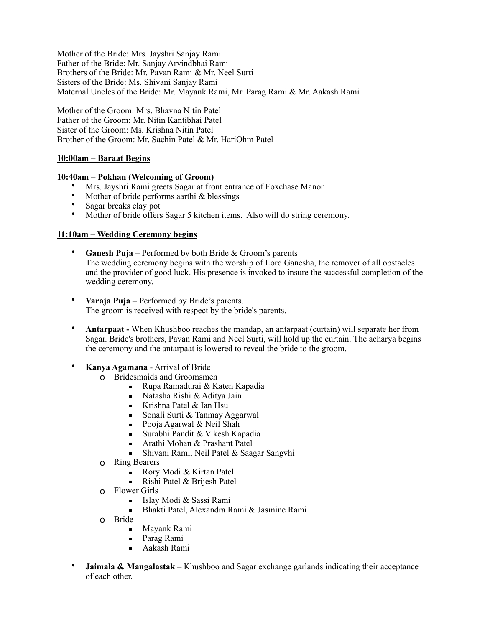Mother of the Bride: Mrs. Jayshri Sanjay Rami Father of the Bride: Mr. Sanjay Arvindbhai Rami Brothers of the Bride: Mr. Pavan Rami & Mr. Neel Surti Sisters of the Bride: Ms. Shivani Sanjay Rami Maternal Uncles of the Bride: Mr. Mayank Rami, Mr. Parag Rami & Mr. Aakash Rami

Mother of the Groom: Mrs. Bhavna Nitin Patel Father of the Groom: Mr. Nitin Kantibhai Patel Sister of the Groom: Ms. Krishna Nitin Patel Brother of the Groom: Mr. Sachin Patel & Mr. HariOhm Patel

## **10:00am – Baraat Begins**

## **10:40am – Pokhan (Welcoming of Groom)**

- Mrs. Jayshri Rami greets Sagar at front entrance of Foxchase Manor
- Mother of bride performs aarthi & blessings
- Sagar breaks clay pot
- Mother of bride offers Sagar 5 kitchen items. Also will do string ceremony.

## **11:10am – Wedding Ceremony begins**

- **Ganesh Puja** Performed by both Bride & Groom's parents The wedding ceremony begins with the worship of Lord Ganesha, the remover of all obstacles and the provider of good luck. His presence is invoked to insure the successful completion of the wedding ceremony.
- **Varaja Puja** Performed by Bride's parents. The groom is received with respect by the bride's parents.
- **Antarpaat -** When Khushboo reaches the mandap, an antarpaat (curtain) will separate her from Sagar. Bride's brothers, Pavan Rami and Neel Surti, will hold up the curtain. The acharya begins the ceremony and the antarpaat is lowered to reveal the bride to the groom.
- **Kanya Agamana** Arrival of Bride
	- o Bridesmaids and Groomsmen
		- Rupa Ramadurai & Katen Kapadia
		- $\blacksquare$  Natasha Rishi & Aditya Jain
		- **Example 1** Krishna Patel  $\&$  Ian Hsu
		- Sonali Surti & Tanmay Aggarwal
		- $\blacksquare$  Pooja Agarwal & Neil Shah
		- Surabhi Pandit & Vikesh Kapadia<br>■ Arathi Mohan & Prashant Patel
		- **•** Arathi Mohan & Prashant Patel<br>**•** Shivani Rami Neil Patel & Saas
		- Shivani Rami, Neil Patel & Saagar Sangvhi
	- o Ring Bearers
		- Rory Modi & Kirtan Patel
		- Rishi Patel & Brijesh Patel
	- o Flower Girls
		- **Example 3** Islay Modi & Sassi Rami
		- Bhakti Patel, Alexandra Rami & Jasmine Rami
	- o Bride
		- Mayank Rami
		- **Parag Rami**
		- Aakash Rami
- **Jaimala & Mangalastak** Khushboo and Sagar exchange garlands indicating their acceptance of each other.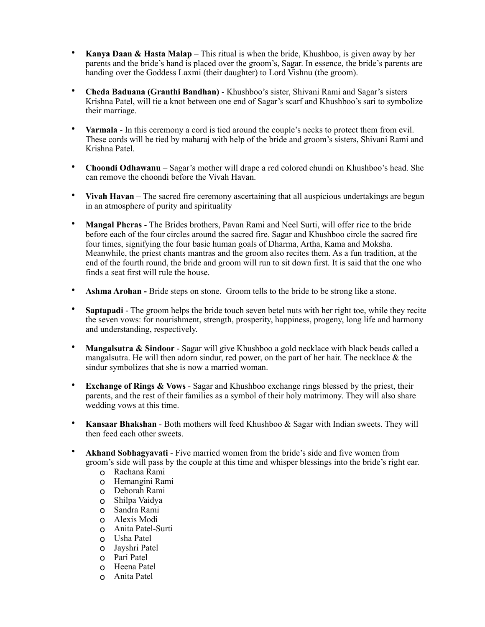- **Kanya Daan & Hasta Malap** This ritual is when the bride, Khushboo, is given away by her parents and the bride's hand is placed over the groom's, Sagar. In essence, the bride's parents are handing over the Goddess Laxmi (their daughter) to Lord Vishnu (the groom).
- **Cheda Baduana (Granthi Bandhan)** Khushboo's sister, Shivani Rami and Sagar's sisters Krishna Patel, will tie a knot between one end of Sagar's scarf and Khushboo's sari to symbolize their marriage.
- **Varmala** In this ceremony a cord is tied around the couple's necks to protect them from evil. These cords will be tied by maharaj with help of the bride and groom's sisters, Shivani Rami and Krishna Patel.
- **Choondi Odhawanu** Sagar's mother will drape a red colored chundi on Khushboo's head. She can remove the choondi before the Vivah Havan.
- **Vivah Havan** The sacred fire ceremony ascertaining that all auspicious undertakings are begun in an atmosphere of purity and spirituality
- **Mangal Pheras** The Brides brothers, Pavan Rami and Neel Surti, will offer rice to the bride before each of the four circles around the sacred fire. Sagar and Khushboo circle the sacred fire four times, signifying the four basic human goals of Dharma, Artha, Kama and Moksha. Meanwhile, the priest chants mantras and the groom also recites them. As a fun tradition, at the end of the fourth round, the bride and groom will run to sit down first. It is said that the one who finds a seat first will rule the house.
- **Ashma Arohan** Bride steps on stone. Groom tells to the bride to be strong like a stone.
- **Saptapadi** The groom helps the bride touch seven betel nuts with her right toe, while they recite the seven vows: for nourishment, strength, prosperity, happiness, progeny, long life and harmony and understanding, respectively.
- **Mangalsutra & Sindoor** Sagar will give Khushboo a gold necklace with black beads called a mangalsutra. He will then adorn sindur, red power, on the part of her hair. The necklace  $\&$  the sindur symbolizes that she is now a married woman.
- **Exchange of Rings & Vows** Sagar and Khushboo exchange rings blessed by the priest, their parents, and the rest of their families as a symbol of their holy matrimony. They will also share wedding vows at this time.
- **Kansaar Bhakshan** Both mothers will feed Khushboo & Sagar with Indian sweets. They will then feed each other sweets.
- **Akhand Sobhagyavati** Five married women from the bride's side and five women from groom's side will pass by the couple at this time and whisper blessings into the bride's right ear.
	- o Rachana Rami
	- o Hemangini Rami
	- o Deborah Rami
	- o Shilpa Vaidya
	- o Sandra Rami
	- o Alexis Modi
	- o Anita Patel-Surti
	- o Usha Patel
	- o Jayshri Patel
	- o Pari Patel
	- o Heena Patel
	- o Anita Patel